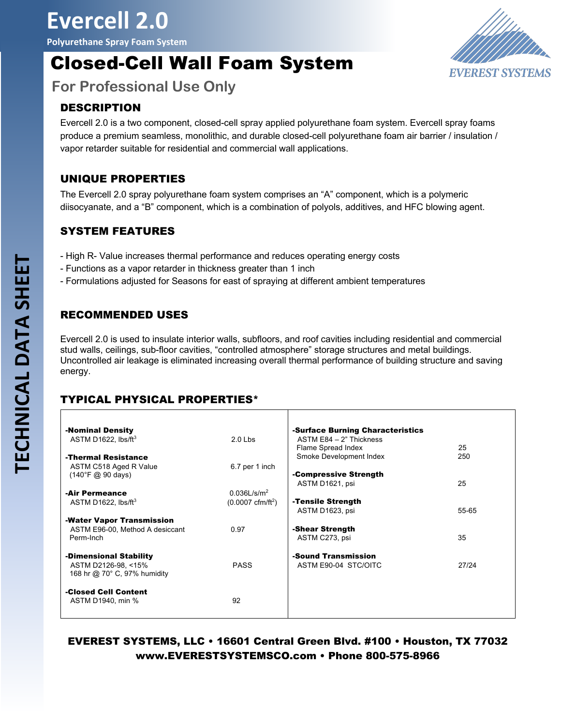# **Evercell 2.0**

**Polyurethane Spray Foam System**

# Closed-Cell Wall Foam System



**For Professional Use Only**

## DESCRIPTION

Evercell 2.0 is a two component, closed-cell spray applied polyurethane foam system. Evercell spray foams produce a premium seamless, monolithic, and durable closed-cell polyurethane foam air barrier / insulation / vapor retarder suitable for residential and commercial wall applications.

### UNIQUE PROPERTIES

The Evercell 2.0 spray polyurethane foam system comprises an "A" component, which is a polymeric diisocyanate, and a "B" component, which is a combination of polyols, additives, and HFC blowing agent.

### SYSTEM FEATURES

- High R- Value increases thermal performance and reduces operating energy costs
- Functions as a vapor retarder in thickness greater than 1 inch
- Formulations adjusted for Seasons for east of spraying at different ambient temperatures

### RECOMMENDED USES

Evercell 2.0 is used to insulate interior walls, subfloors, and roof cavities including residential and commercial stud walls, ceilings, sub-floor cavities, "controlled atmosphere" storage structures and metal buildings. Uncontrolled air leakage is eliminated increasing overall thermal performance of building structure and saving energy.

# TYPICAL PHYSICAL PROPERTIES\*

| -Nominal Density                                      |                                    | -Surface Burning Characteristics |       |
|-------------------------------------------------------|------------------------------------|----------------------------------|-------|
| ASTM D1622. lbs/ft $3$                                | $2.0$ Lbs                          | ASTM $E84 - 2$ " Thickness       |       |
|                                                       |                                    | Flame Spread Index               | 25    |
| -Thermal Resistance                                   |                                    | Smoke Development Index          | 250   |
| ASTM C518 Aged R Value                                | 6.7 per 1 inch                     |                                  |       |
| $(140^{\circ}F \; \textcircled{a} 90 \; \text{days})$ |                                    | -Compressive Strength            |       |
|                                                       |                                    | ASTM D1621, psi                  | 25    |
| -Air Permeance                                        | $0.036$ L/s/m <sup>2</sup>         |                                  |       |
| ASTM D1622, $\text{lbs/ft}^3$                         | $(0.0007 \text{ cfm}/\text{ft}^2)$ | -Tensile Strength                |       |
|                                                       |                                    | ASTM D1623, psi                  | 55-65 |
| -Water Vapor Transmission                             |                                    |                                  |       |
| ASTM E96-00, Method A desiccant                       | 0.97                               | -Shear Strength                  |       |
| Perm-Inch                                             |                                    | ASTM C273, psi                   | 35    |
|                                                       |                                    |                                  |       |
| -Dimensional Stability                                |                                    | -Sound Transmission              |       |
| ASTM D2126-98, <15%                                   | <b>PASS</b>                        | ASTM E90-04 STC/OITC             | 27/24 |
| 168 hr @ 70° C, 97% humidity                          |                                    |                                  |       |
|                                                       |                                    |                                  |       |
| -Closed Cell Content                                  |                                    |                                  |       |
| ASTM D1940, min %                                     | 92                                 |                                  |       |
|                                                       |                                    |                                  |       |
|                                                       |                                    |                                  |       |

# EVEREST SYSTEMS, LLC • 16601 Central Green Blvd. #100 • Houston, TX 77032 www.EVERESTSYSTEMSCO.com • Phone 800-575-8966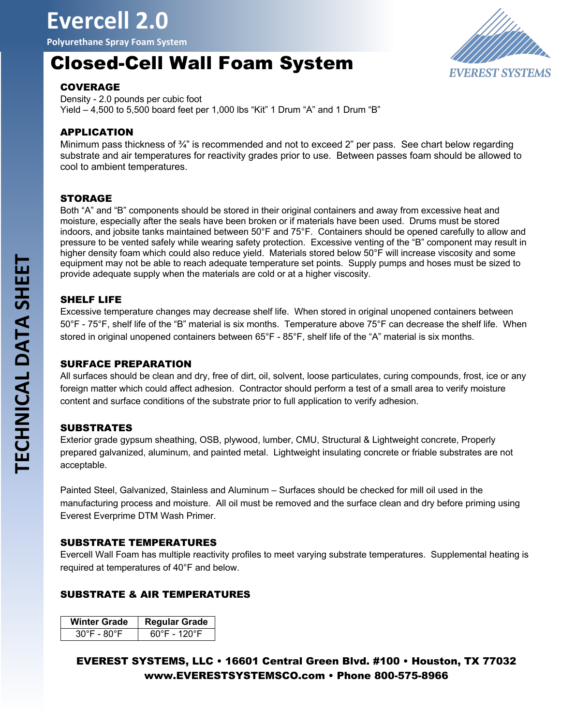**Polyurethane Spray Foam System**

# Closed-Cell Wall Foam System



#### **COVERAGE**

Density - 2.0 pounds per cubic foot Yield  $-4,500$  to 5,500 board feet per 1,000 lbs "Kit" 1 Drum "A" and 1 Drum "B"

#### APPLICATION

Minimum pass thickness of  $\frac{3}{4}$ " is recommended and not to exceed 2" per pass. See chart below regarding substrate and air temperatures for reactivity grades prior to use. Between passes foam should be allowed to cool to ambient temperatures.

#### STORAGE

Both "A" and "B" components should be stored in their original containers and away from excessive heat and moisture, especially after the seals have been broken or if materials have been used. Drums must be stored indoors, and jobsite tanks maintained between 50°F and 75°F. Containers should be opened carefully to allow and pressure to be vented safely while wearing safety protection. Excessive venting of the "B" component may result in higher density foam which could also reduce yield. Materials stored below 50°F will increase viscosity and some equipment may not be able to reach adequate temperature set points. Supply pumps and hoses must be sized to provide adequate supply when the materials are cold or at a higher viscosity.

#### SHELF LIFE

Excessive temperature changes may decrease shelf life. When stored in original unopened containers between 50°F - 75°F, shelf life of the "B" material is six months. Temperature above 75°F can decrease the shelf life. When stored in original unopened containers between 65°F - 85°F, shelf life of the "A" material is six months.

#### SURFACE PREPARATION

All surfaces should be clean and dry, free of dirt, oil, solvent, loose particulates, curing compounds, frost, ice or any foreign matter which could affect adhesion. Contractor should perform a test of a small area to verify moisture content and surface conditions of the substrate prior to full application to verify adhesion.

#### **SUBSTRATES**

Exterior grade gypsum sheathing, OSB, plywood, lumber, CMU, Structural & Lightweight concrete, Properly prepared galvanized, aluminum, and painted metal. Lightweight insulating concrete or friable substrates are not acceptable.

Painted Steel, Galvanized, Stainless and Aluminum – Surfaces should be checked for mill oil used in the manufacturing process and moisture. All oil must be removed and the surface clean and dry before priming using Everest Everprime DTM Wash Primer.

#### SUBSTRATE TEMPERATURES

Evercell Wall Foam has multiple reactivity profiles to meet varying substrate temperatures. Supplemental heating is required at temperatures of 40°F and below.

#### SUBSTRATE & AIR TEMPERATURES

| <b>Winter Grade</b> | <b>Regular Grade</b>          |
|---------------------|-------------------------------|
| 30°F - 80°F         | $60^\circ$ F - 120 $^\circ$ F |

EVEREST SYSTEMS, LLC • 16601 Central Green Blvd. #100 • Houston, TX 77032 www.EVERESTSYSTEMSCO.com • Phone 800-575-8966